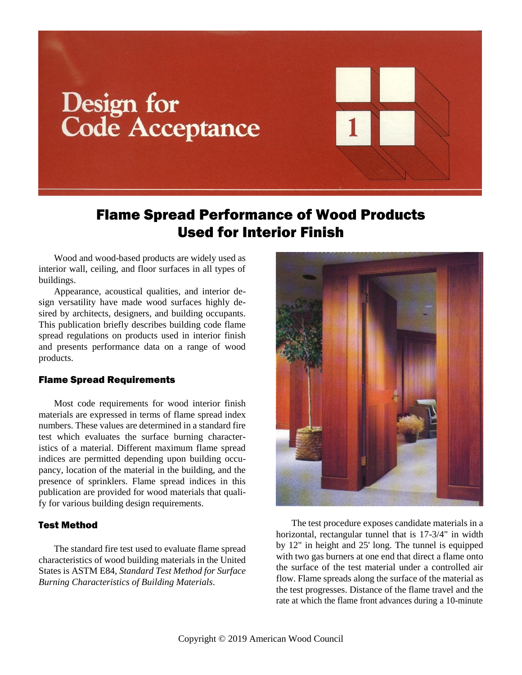# Design for **Code Acceptance**

# Flame Spread Performance of Wood Products Used for Interior Finish

Wood and wood-based products are widely used as interior wall, ceiling, and floor surfaces in all types of buildings.

Appearance, acoustical qualities, and interior design versatility have made wood surfaces highly desired by architects, designers, and building occupants. This publication briefly describes building code flame spread regulations on products used in interior finish and presents performance data on a range of wood products.

# Flame Spread Requirements

Most code requirements for wood interior finish materials are expressed in terms of flame spread index numbers. These values are determined in a standard fire test which evaluates the surface burning characteristics of a material. Different maximum flame spread indices are permitted depending upon building occupancy, location of the material in the building, and the presence of sprinklers. Flame spread indices in this publication are provided for wood materials that qualify for various building design requirements.

## Test Method

The standard fire test used to evaluate flame spread characteristics of wood building materials in the United States is ASTM E84, *Standard Test Method for Surface Burning Characteristics of Building Materials*.



The test procedure exposes candidate materials in a horizontal, rectangular tunnel that is 17-3/4" in width by 12" in height and 25' long. The tunnel is equipped with two gas burners at one end that direct a flame onto the surface of the test material under a controlled air flow. Flame spreads along the surface of the material as the test progresses. Distance of the flame travel and the rate at which the flame front advances during a 10-minute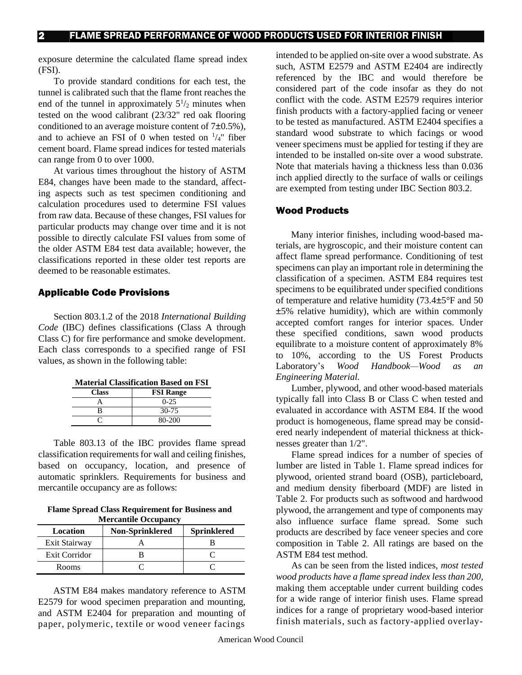exposure determine the calculated flame spread index (FSI).

To provide standard conditions for each test, the tunnel is calibrated such that the flame front reaches the end of the tunnel in approximately  $5\frac{1}{2}$  minutes when tested on the wood calibrant (23/32" red oak flooring conditioned to an average moisture content of  $7\pm0.5\%$ ), and to achieve an FSI of 0 when tested on  $\frac{1}{4}$ " fiber cement board. Flame spread indices for tested materials can range from 0 to over 1000.

At various times throughout the history of ASTM E84, changes have been made to the standard, affecting aspects such as test specimen conditioning and calculation procedures used to determine FSI values from raw data. Because of these changes, FSI values for particular products may change over time and it is not possible to directly calculate FSI values from some of the older ASTM E84 test data available; however, the classifications reported in these older test reports are deemed to be reasonable estimates.

#### Applicable Code Provisions

Section 803.1.2 of the 2018 *International Building Code* (IBC) defines classifications (Class A through Class C) for fire performance and smoke development. Each class corresponds to a specified range of FSI values, as shown in the following table:

**Material Classification Based on FSI**

| <b>Class</b> | <b>FSI Range</b> |
|--------------|------------------|
|              | $0 - 25$         |
| R            | 30-75            |
|              | 80-200           |

Table 803.13 of the IBC provides flame spread classification requirements for wall and ceiling finishes, based on occupancy, location, and presence of automatic sprinklers. Requirements for business and mercantile occupancy are as follows:

**Flame Spread Class Requirement for Business and Mercantile Occupancy**

| <b>Non-Sprinklered</b><br>Location |  | <b>Sprinklered</b> |  |  |  |
|------------------------------------|--|--------------------|--|--|--|
| Exit Stairway                      |  |                    |  |  |  |
| Exit Corridor                      |  |                    |  |  |  |
| Rooms                              |  |                    |  |  |  |

ASTM E84 makes mandatory reference to ASTM E2579 for wood specimen preparation and mounting, and ASTM E2404 for preparation and mounting of paper, polymeric, textile or wood veneer facings

intended to be applied on-site over a wood substrate. As such, ASTM E2579 and ASTM E2404 are indirectly referenced by the IBC and would therefore be considered part of the code insofar as they do not conflict with the code. ASTM E2579 requires interior finish products with a factory-applied facing or veneer to be tested as manufactured. ASTM E2404 specifies a standard wood substrate to which facings or wood veneer specimens must be applied for testing if they are intended to be installed on-site over a wood substrate. Note that materials having a thickness less than 0.036 inch applied directly to the surface of walls or ceilings are exempted from testing under IBC Section 803.2.

#### Wood Products

Many interior finishes, including wood-based materials, are hygroscopic, and their moisture content can affect flame spread performance. Conditioning of test specimens can play an important role in determining the classification of a specimen. ASTM E84 requires test specimens to be equilibrated under specified conditions of temperature and relative humidity (73.4±5°F and 50 ±5% relative humidity), which are within commonly accepted comfort ranges for interior spaces. Under these specified conditions, sawn wood products equilibrate to a moisture content of approximately 8% to 10%, according to the US Forest Products Laboratory's *Wood Handbook—Wood as an Engineering Material.*

Lumber, plywood, and other wood-based materials typically fall into Class B or Class C when tested and evaluated in accordance with ASTM E84. If the wood product is homogeneous, flame spread may be considered nearly independent of material thickness at thicknesses greater than 1/2".

Flame spread indices for a number of species of lumber are listed in Table 1. Flame spread indices for plywood, oriented strand board (OSB), particleboard, and medium density fiberboard (MDF) are listed i[n](http://www.awc.org/Publications/dca/dca1/dca1t1.html) [Table 2. F](http://www.awc.org/Publications/dca/dca1/dca1t1.html)or products such as softwood and hardwood plywood, the arrangement and type of components may also influence surface flame spread. Some such products are described by face veneer species and core composition in [Table 2](http://www.awc.org/Publications/dca/dca1/dca1t1.html). All ratings are based on the ASTM E84 test method.

As can be seen from the listed indices, *most tested wood products have a flame spread index less than 200,*  making them acceptable under current building codes for a wide range of interior finish uses. Flame spread indices for a range of proprietary wood-based interior finish materials, such as factory-applied overlay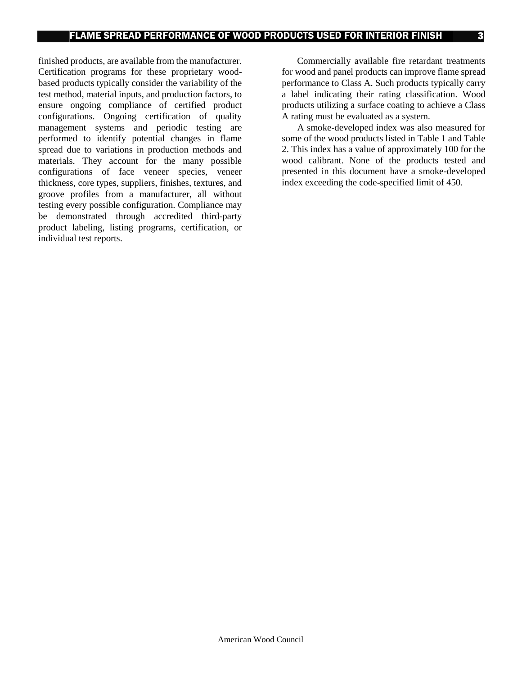finished products, are available from the manufacturer. Certification programs for these proprietary woodbased products typically consider the variability of the test method, material inputs, and production factors, to ensure ongoing compliance of certified product configurations. Ongoing certification of quality management systems and periodic testing are performed to identify potential changes in flame spread due to variations in production methods and materials. They account for the many possible configurations of face veneer species, veneer thickness, core types, suppliers, finishes, textures, and groove profiles from a manufacturer, all without testing every possible configuration. Compliance may be demonstrated through accredited third-party product labeling, listing programs, certification, or individual test reports.

Commercially available fire retardant treatments for wood and panel products can improve flame spread performance to Class A. Such products typically carry a label indicating their rating classification. Wood products utilizing a surface coating to achieve a Class A rating must be evaluated as a system.

A smoke-developed index was also measured for some of the wood products listed in Table 1 and Table 2. This index has a value of approximately 100 for the wood calibrant. None of the products tested and presented in this document have a smoke-developed index exceeding the code-specified limit of 450.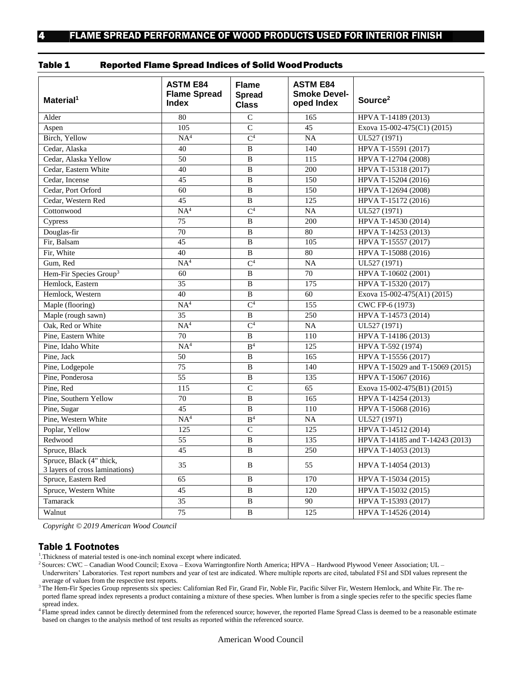| Table 1 |  | <b>Reported Flame Spread Indices of Solid Wood Products</b> |  |  |
|---------|--|-------------------------------------------------------------|--|--|
|---------|--|-------------------------------------------------------------|--|--|

| Material <sup>1</sup>                                      | <b>ASTM E84</b><br><b>Flame Spread</b><br><b>Index</b> | <b>Flame</b><br><b>Spread</b><br><b>Class</b> | <b>ASTM E84</b><br><b>Smoke Devel-</b><br>oped Index | Source <sup>2</sup>             |
|------------------------------------------------------------|--------------------------------------------------------|-----------------------------------------------|------------------------------------------------------|---------------------------------|
| Alder                                                      | 80                                                     | $\mathcal{C}$                                 | 165                                                  | HPVA T-14189 (2013)             |
| Aspen                                                      | 105                                                    | $\overline{C}$                                | $\overline{45}$                                      | Exova 15-002-475(C1) (2015)     |
| Birch, Yellow                                              | NA <sup>4</sup>                                        | $\mathsf{C}^4$                                | $\overline{NA}$                                      | UL527 (1971)                    |
| Cedar, Alaska                                              | 40                                                     | $\overline{B}$                                | 140                                                  | HPVA T-15591 (2017)             |
| Cedar, Alaska Yellow                                       | 50                                                     | $\, {\bf B}$                                  | 115                                                  | HPVA T-12704 (2008)             |
| Cedar, Eastern White                                       | 40                                                     | $\, {\bf B}$                                  | 200                                                  | HPVA T-15318 (2017)             |
| Cedar, Incense                                             | 45                                                     | $\overline{B}$                                | 150                                                  | HPVA T-15204 (2016)             |
| Cedar, Port Orford                                         | 60                                                     | B                                             | 150                                                  | HPVA T-12694 (2008)             |
| Cedar, Western Red                                         | 45                                                     | $\, {\bf B}$                                  | 125                                                  | HPVA T-15172 (2016)             |
| Cottonwood                                                 | NA <sup>4</sup>                                        | $\overline{C^4}$                              | <b>NA</b>                                            | UL527 (1971)                    |
| Cypress                                                    | $\overline{75}$                                        | $\overline{B}$                                | 200                                                  | HPVA T-14530 (2014)             |
| Douglas-fir                                                | 70                                                     | $\overline{B}$                                | 80                                                   | HPVA T-14253 (2013)             |
| Fir, Balsam                                                | 45                                                     | $\, {\bf B}$                                  | 105                                                  | HPVA T-15557 (2017)             |
| Fir, White                                                 | 40                                                     | $\, {\bf B}$                                  | 80                                                   | HPVA T-15088 (2016)             |
| Gum, Red                                                   | NA <sup>4</sup>                                        | $\overline{C^4}$                              | NA                                                   | UL527 (1971)                    |
| Hem-Fir Species Group <sup>3</sup>                         | 60                                                     | $\, {\bf B}$                                  | 70                                                   | HPVA T-10602 (2001)             |
| Hemlock. Eastern                                           | 35                                                     | B                                             | 175                                                  | HPVA T-15320 (2017)             |
| Hemlock, Western                                           | 40                                                     | $\overline{B}$                                | 60                                                   | Exova 15-002-475(A1) (2015)     |
| Maple (flooring)                                           | NA <sup>4</sup>                                        | $\overline{C^4}$                              | 155                                                  | CWC FP-6 (1973)                 |
| Maple (rough sawn)                                         | 35                                                     | $\, {\bf B}$                                  | 250                                                  | HPVA T-14573 (2014)             |
| Oak, Red or White                                          | NA <sup>4</sup>                                        | $\overline{C^4}$                              | $\overline{NA}$                                      | UL527 (1971)                    |
| Pine, Eastern White                                        | 70                                                     | B                                             | 110                                                  | HPVA T-14186 (2013)             |
| Pine, Idaho White                                          | NA <sup>4</sup>                                        | B <sup>4</sup>                                | 125                                                  | HPVA T-592 (1974)               |
| Pine, Jack                                                 | 50                                                     | $\, {\bf B}$                                  | 165                                                  | HPVA T-15556 (2017)             |
| Pine, Lodgepole                                            | 75                                                     | B                                             | 140                                                  | HPVA T-15029 and T-15069 (2015) |
| Pine, Ponderosa                                            | 55                                                     | $\, {\bf B}$                                  | 135                                                  | HPVA T-15067 (2016)             |
| Pine, Red                                                  | 115                                                    | $\overline{C}$                                | 65                                                   | Exova 15-002-475(B1) (2015)     |
| Pine, Southern Yellow                                      | 70                                                     | $\overline{B}$                                | 165                                                  | HPVA T-14254 (2013)             |
| Pine, Sugar                                                | 45                                                     | $\overline{B}$                                | 110                                                  | HPVA T-15068 (2016)             |
| Pine, Western White                                        | NA <sup>4</sup>                                        | B <sup>4</sup>                                | <b>NA</b>                                            | UL527 (1971)                    |
| Poplar, Yellow                                             | 125                                                    | $\overline{C}$                                | 125                                                  | HPVA T-14512 (2014)             |
| Redwood                                                    | 55                                                     | $\, {\bf B}$                                  | 135                                                  | HPVA T-14185 and T-14243 (2013) |
| Spruce, Black                                              | 45                                                     | $\, {\bf B}$                                  | 250                                                  | HPVA T-14053 (2013)             |
| Spruce, Black (4" thick,<br>3 layers of cross laminations) | 35                                                     | B                                             | 55                                                   | HPVA T-14054 (2013)             |
| Spruce, Eastern Red                                        | 65                                                     | B                                             | 170                                                  | HPVA T-15034 (2015)             |
| Spruce, Western White                                      | 45                                                     | $\, {\bf B}$                                  | 120                                                  | HPVA T-15032 (2015)             |
| Tamarack                                                   | 35                                                     | $\, {\bf B}$                                  | 90                                                   | HPVA T-15393 (2017)             |
| Walnut                                                     | 75                                                     | $\overline{B}$                                | 125                                                  | HPVA T-14526 (2014)             |

*Copyright © 2019 American Wood Council*

#### Table 1 Footnotes

<sup>1</sup>. Thickness of material tested is one-inch nominal except where indicated.

<sup>2</sup> Sources: CWC – Canadian Wood Council; Exova – Exova Warringtonfire North America; HPVA – Hardwood Plywood Veneer Association; UL – Underwriters' Laboratories. Test report numbers and year of test are indicated. Where multiple reports are cited, tabulated FSI and SDI values represent the average of values from the respective test reports.

<sup>3</sup>The Hem-Fir Species Group represents six species: Californian Red Fir, Grand Fir, Noble Fir, Pacific Silver Fir, Western Hemlock, and White Fir. The reported flame spread index represents a product containing a mixture of these species. When lumber is from a single species refer to the specific species flame spread index.

<sup>4</sup>Flame spread index cannot be directly determined from the referenced source; however, the reported Flame Spread Class is deemed to be a reasonable estimate based on changes to the analysis method of test results as reported within the referenced source.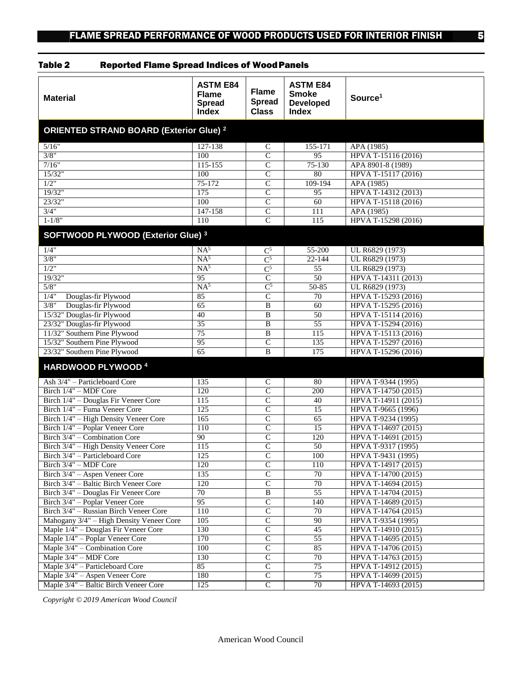| <b>Material</b>                                                         | <b>ASTM E84</b><br><b>Flame</b><br><b>Spread</b><br><b>Index</b> | <b>Flame</b><br><b>Spread</b><br><b>Class</b> | <b>ASTM E84</b><br><b>Smoke</b><br><b>Developed</b><br><b>Index</b> | Source <sup>1</sup>                        |  |
|-------------------------------------------------------------------------|------------------------------------------------------------------|-----------------------------------------------|---------------------------------------------------------------------|--------------------------------------------|--|
| <b>ORIENTED STRAND BOARD (Exterior Glue) 2</b>                          |                                                                  |                                               |                                                                     |                                            |  |
| 5/16"                                                                   | 127-138                                                          | $\mathsf C$                                   | 155-171                                                             | APA (1985)                                 |  |
| 3/8"                                                                    | 100                                                              | $\overline{\mathsf{C}}$                       | $\overline{95}$                                                     | HPVA T-15116 (2016)                        |  |
| 7/16"                                                                   | $115 - 155$                                                      | $\mathbf C$                                   | 75-130                                                              | APA 8901-8 (1989)                          |  |
| 15/32"                                                                  | 100                                                              | $\overline{C}$                                | 80                                                                  | HPVA T-15117 (2016)                        |  |
| 1/2"                                                                    | $75-172$                                                         | $\overline{C}$                                | 109-194                                                             | APA (1985)                                 |  |
| 19/32"                                                                  | 175                                                              | $\overline{C}$                                | 95                                                                  | HPVA T-14312 (2013)                        |  |
| 23/32"                                                                  | 100                                                              | $\overline{C}$                                | 60                                                                  | HPVA T-15118 (2016)                        |  |
| 3/4"                                                                    | 147-158                                                          | $\overline{C}$                                | 111                                                                 | APA (1985)                                 |  |
| $1 - 1/8"$                                                              | 110                                                              | $\overline{C}$                                | 115                                                                 | HPVA T-15298 (2016)                        |  |
| SOFTWOOD PLYWOOD (Exterior Glue) <sup>3</sup>                           |                                                                  |                                               |                                                                     |                                            |  |
| 1/4"                                                                    | NA <sup>5</sup>                                                  | $\mathrm{C}^5$                                | 55-200                                                              | UL R6829 (1973)                            |  |
| 3/8"                                                                    | NA <sup>5</sup>                                                  | $\overline{C^5}$                              | $22 - 144$                                                          | UL R6829 (1973)                            |  |
| 1/2"                                                                    | NA <sup>5</sup>                                                  | $\overline{C^5}$                              | $\overline{55}$                                                     | UL R6829 (1973)                            |  |
| 19/32"                                                                  | 95                                                               | $\overline{C}$                                | $\overline{50}$                                                     | HPVA T-14311 (2013)                        |  |
| 5/8"                                                                    | NA <sup>5</sup>                                                  | $\mathsf{C}^5$                                | $50 - 85$                                                           | UL R6829 (1973)                            |  |
| 1/4"<br>Douglas-fir Plywood                                             | 85                                                               | $\mathcal{C}$                                 | 70                                                                  | HPVA T-15293 (2016)                        |  |
| 3/8"<br>Douglas-fir Plywood                                             | 65                                                               | $\mathbf B$                                   | 60                                                                  | HPVA T-15295 (2016)                        |  |
| 15/32" Douglas-fir Plywood                                              | 40                                                               | $\overline{B}$                                | 50                                                                  | HPVA T-15114 (2016)                        |  |
| 23/32" Douglas-fir Plywood                                              | 35                                                               | $\overline{B}$                                | 55                                                                  | HPVA T-15294 (2016)                        |  |
| 11/32" Southern Pine Plywood                                            | $\overline{75}$                                                  | $\mathbf B$                                   | 115                                                                 | HPVA T-15113 (2016)                        |  |
| 15/32" Southern Pine Plywood                                            | 95                                                               | $\overline{C}$                                | 135                                                                 | HPVA T-15297 (2016)                        |  |
| 23/32" Southern Pine Plywood                                            | $\overline{65}$                                                  | B                                             | 175                                                                 | HPVA T-15296 (2016)                        |  |
| <b>HARDWOOD PLYWOOD 4</b>                                               |                                                                  |                                               |                                                                     |                                            |  |
| Ash 3/4" - Particleboard Core                                           | 135                                                              | $\mathsf{C}$                                  | 80                                                                  | HPVA T-9344 (1995)                         |  |
| Birch 1/4" - MDF Core                                                   | 120                                                              | $\overline{C}$                                | 200                                                                 | HPVA T-14750 (2015)                        |  |
| Birch 1/4" - Douglas Fir Veneer Core                                    | $\overline{115}$                                                 | $\overline{C}$                                | 40                                                                  | HPVA T-14911 (2015)                        |  |
| Birch 1/4" - Fuma Veneer Core                                           | 125                                                              | $\overline{\mathsf{C}}$                       | 15                                                                  | HPVA T-9665 (1996)                         |  |
| Birch 1/4" - High Density Veneer Core                                   | 165                                                              | $\overline{C}$                                | 65                                                                  | HPVA T-9234 (1995)                         |  |
| Birch 1/4" - Poplar Veneer Core                                         | 110                                                              | $\overline{C}$                                | 15                                                                  | HPVA T-14697 (2015)                        |  |
| Birch 3/4" - Combination Core                                           | 90                                                               | $\overline{C}$                                | 120                                                                 | HPVA T-14691 (2015)                        |  |
| Birch 3/4" - High Density Veneer Core                                   | 115                                                              | $\overline{C}$                                | 50                                                                  | HPVA T-9317 (1995)                         |  |
| Birch 3/4" - Particleboard Core                                         | 125                                                              | $\mathbf C$                                   | 100                                                                 | HPVA T-9431 (1995)                         |  |
| Birch 3/4" - MDF Core                                                   | 120                                                              | $\overline{C}$                                | 110                                                                 | HPVA T-14917 (2015)                        |  |
| Birch 3/4" - Aspen Veneer Core                                          | 135                                                              | $\overline{C}$                                | 70                                                                  | HPVA T-14700 (2015)                        |  |
| Birch 3/4" - Baltic Birch Veneer Core                                   | 120<br>$\overline{70}$                                           | $\overline{C}$                                | 70<br>55                                                            | HPVA T-14694 (2015)                        |  |
| Birch 3/4" - Douglas Fir Veneer Core<br>Birch 3/4" - Poplar Veneer Core | 95                                                               | B<br>$\overline{C}$                           | 140                                                                 | HPVA T-14704 (2015)<br>HPVA T-14689 (2015) |  |
| Birch 3/4" - Russian Birch Veneer Core                                  | 110                                                              | $\overline{C}$                                | 70                                                                  | HPVA T-14764 (2015)                        |  |
| Mahogany 3/4" - High Density Veneer Core                                | 105                                                              | $\overline{C}$                                | 90                                                                  | HPVA T-9354 (1995)                         |  |
| Maple 1/4" - Douglas Fir Veneer Core                                    | 130                                                              | $\overline{C}$                                | 45                                                                  | HPVA T-14910 (2015)                        |  |
| Maple 1/4" - Poplar Veneer Core                                         | 170                                                              | $\overline{C}$                                | 55                                                                  | HPVA T-14695 (2015)                        |  |
| Maple 3/4" – Combination Core                                           | 100                                                              | $\overline{C}$                                | 85                                                                  | HPVA T-14706 (2015)                        |  |
| Maple 3/4" - MDF Core                                                   | 130                                                              | $\overline{C}$                                | 70                                                                  | HPVA T-14763 (2015)                        |  |
| Maple 3/4" - Particleboard Core                                         | 85                                                               | $\overline{C}$                                | 75                                                                  | HPVA T-14912 (2015)                        |  |
| Maple 3/4" - Aspen Veneer Core                                          | 180                                                              | $\overline{C}$                                | 75                                                                  | HPVA T-14699 (2015)                        |  |
| Maple 3/4" - Baltic Birch Veneer Core                                   | 125                                                              | $\overline{C}$                                | 70                                                                  | HPVA T-14693 (2015)                        |  |

#### Table 2 Reported Flame Spread Indices of WoodPanels

*Copyright © 2019 American Wood Council*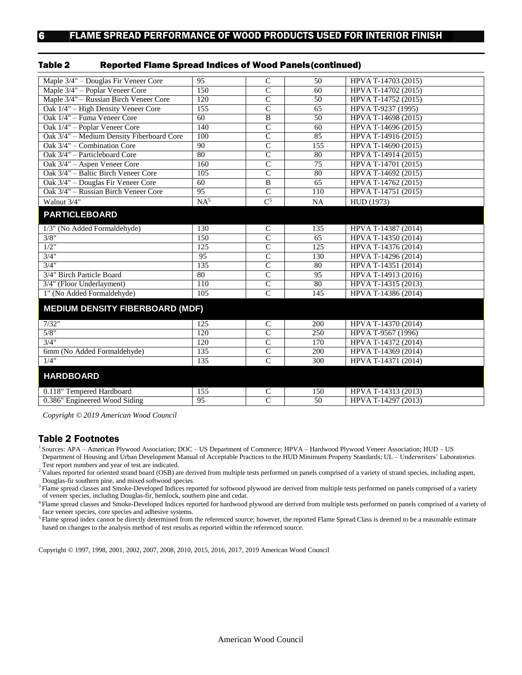| Maple 3/4" - Douglas Fir Veneer Core      | 95               | $\overline{C}$   | $\overline{50}$ | HPVA T-14703 (2015) |  |
|-------------------------------------------|------------------|------------------|-----------------|---------------------|--|
| Maple 3/4" - Poplar Veneer Core           | 150              | $\overline{C}$   | 60              | HPVA T-14702 (2015) |  |
| Maple 3/4" – Russian Birch Veneer Core    | 120              | $\overline{C}$   | $\overline{50}$ | HPVA T-14752 (2015) |  |
| Oak 1/4" - High Density Veneer Core       | 155              | $\overline{C}$   | 65              | HPVA T-9237 (1995)  |  |
| Oak 1/4" – Fuma Veneer Core               | 60               | $\overline{B}$   | 50              | HPVA T-14698 (2015) |  |
| Oak 1/4" - Poplar Veneer Core             | 140              | $\overline{C}$   | 60              | HPVA T-14696 (2015) |  |
| Oak 3/4" - Medium Density Fiberboard Core | 100              | $\overline{C}$   | 85              | HPVA T-14916 (2015) |  |
| Oak 3/4" - Combination Core               | 90               | $\overline{C}$   | 155             | HPVA T-14690 (2015) |  |
| Oak 3/4" - Particleboard Core             | 80               | $\overline{C}$   | 80              | HPVA T-14914 (2015) |  |
| Oak 3/4" - Aspen Veneer Core              | 160              | $\overline{C}$   | 75              | HPVA T-14701 (2015) |  |
| Oak 3/4" - Baltic Birch Veneer Core       | $\overline{105}$ | $\overline{C}$   | 80              | HPVA T-14692 (2015) |  |
| Oak 3/4" - Douglas Fir Veneer Core        | 60               | $\overline{B}$   | 65              | HPVA T-14762 (2015) |  |
| Oak 3/4" - Russian Birch Veneer Core      | $\overline{95}$  | $\overline{C}$   | 110             | HPVA T-14751 (2015) |  |
| Walnut 3/4"                               | NA <sup>5</sup>  | $\overline{C^5}$ | <b>NA</b>       | HUD (1973)          |  |
| <b>PARTICLEBOARD</b>                      |                  |                  |                 |                     |  |
|                                           |                  |                  |                 |                     |  |
| 1/3" (No Added Formaldehyde)              | 130              | $\mathsf{C}$     | 135             | HPVA T-14387 (2014) |  |
| 3/8"                                      | 150              | $\overline{C}$   | 65              | HPVA T-14350 (2014) |  |
| $1/2$ "                                   | 125              | $\overline{C}$   | 125             | HPVA T-14376 (2014) |  |
| 3/4"                                      | 95               | $\overline{C}$   | 130             | HPVA T-14296 (2014) |  |
| $\frac{3}{4}$ "                           | 135              | $\overline{C}$   | 80              | HPVA T-14351 (2014) |  |
| 3/4" Birch Particle Board                 | 80               | $\overline{C}$   | 95              | HPVA T-14913 (2016) |  |
| 3/4" (Floor Underlayment)                 | 110              | $\overline{C}$   | 80              | HPVA T-14315 (2013) |  |
| 1" (No Added Formaldehyde)                | 105              | $\mathbf C$      | 145             | HPVA T-14386 (2014) |  |
| <b>MEDIUM DENSITY FIBERBOARD (MDF)</b>    |                  |                  |                 |                     |  |
| 7/32"                                     | 125              | $\mathbf C$      | 200             | HPVA T-14370 (2014) |  |
| 5/8"                                      | 120              | $\overline{C}$   | 250             | HPVA T-9567 (1996)  |  |
| 3/4"                                      | 120              | $\overline{C}$   | 170             | HPVA T-14372 (2014) |  |
| 6mm (No Added Formaldehyde)               | 135              | $\overline{C}$   | 200             | HPVA T-14369 (2014) |  |
| 1/4"                                      | 135              | $\overline{C}$   | 300             | HPVA T-14371 (2014) |  |
| <b>HARDBOARD</b>                          |                  |                  |                 |                     |  |
|                                           |                  |                  |                 |                     |  |
| 0.118" Tempered Hardboard                 | 155              | C                | 150             | HPVA T-14313 (2013) |  |
| 0.386" Engineered Wood Siding             | $\overline{95}$  | $\overline{C}$   | $\overline{50}$ | HPVA T-14297 (2013) |  |

#### Table 2 Reported Flame Spread Indices of Wood Panels(continued)

*Copyright © 2019 American Wood Council*

#### Table 2 Footnotes

<sup>1</sup> Sources: APA – American Plywood Association; DOC – US Department of Commerce; HPVA – Hardwood Plywood Veneer Association; HUD – US Department of Housing and Urban Development Manual of Acceptable Practices to the HUD Minimum Property Standards; UL – Underwriters' Laboratories. Test report numbers and year of test are indicated.

<sup>2</sup> Values reported for oriented strand board (OSB) are derived from multiple tests performed on panels comprised of a variety of strand species, including aspen, Douglas-fir southern pine, and mixed softwood species.

<sup>3</sup> Flame spread classes and Smoke-Developed Indices reported for softwood plywood are derived from multiple tests performed on panels comprised of a variety of veneer species, including Douglas-fir, hemlock, southern pine and cedar.

<sup>4</sup>Flame spread classes and Smoke-Developed Indices reported for hardwood plywood are derived from multiple tests performed on panels comprised of a variety of face veneer species, core species and adhesive systems.

<sup>5</sup> Flame spread index cannot be directly determined from the referenced source; however, the reported Flame Spread Class is deemed to be a reasonable estimate based on changes to the analysis method of test results as reported within the referenced source.

Copyright © 1997, 1998, 2001, 2002, 2007, 2008, 2010, 2015, 2016, 2017, 2019 American Wood Council